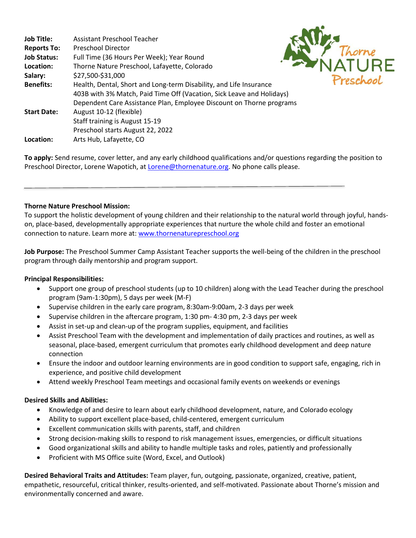| <b>Job Title:</b>  | Assistant Preschool Teacher                                           |           |
|--------------------|-----------------------------------------------------------------------|-----------|
| <b>Reports To:</b> | <b>Preschool Director</b>                                             |           |
| <b>Job Status:</b> | Full Time (36 Hours Per Week); Year Round                             |           |
| Location:          | Thorne Nature Preschool, Lafayette, Colorado                          |           |
| Salary:            | \$27,500-\$31,000                                                     | Preschool |
| <b>Benefits:</b>   | Health, Dental, Short and Long-term Disability, and Life Insurance    |           |
|                    | 403B with 3% Match, Paid Time Off (Vacation, Sick Leave and Holidays) |           |
|                    | Dependent Care Assistance Plan, Employee Discount on Thorne programs  |           |
| <b>Start Date:</b> | August 10-12 (flexible)                                               |           |
|                    | Staff training is August 15-19                                        |           |
|                    | Preschool starts August 22, 2022                                      |           |
| Location:          | Arts Hub, Lafayette, CO                                               |           |

**To apply:** Send resume, cover letter, and any early childhood qualifications and/or questions regarding the position to Preschool Director, Lorene Wapotich, a[t Lorene@thornenature.org.](mailto:Lorene@thornenature.org) No phone calls please.

# **Thorne Nature Preschool Mission:**

To support the holistic development of young children and their relationship to the natural world through joyful, handson, place-based, developmentally appropriate experiences that nurture the whole child and foster an emotional connection to nature. Learn more at[: www.thornenaturepreschool.org](http://www.thornenaturepreschool.org/)

**Job Purpose:** The Preschool Summer Camp Assistant Teacher supports the well-being of the children in the preschool program through daily mentorship and program support.

## **Principal Responsibilities:**

- Support one group of preschool students (up to 10 children) along with the Lead Teacher during the preschool program (9am-1:30pm), 5 days per week (M-F)
- Supervise children in the early care program, 8:30am-9:00am, 2-3 days per week
- Supervise children in the aftercare program, 1:30 pm- 4:30 pm, 2-3 days per week
- Assist in set-up and clean-up of the program supplies, equipment, and facilities
- Assist Preschool Team with the development and implementation of daily practices and routines, as well as seasonal, place-based, emergent curriculum that promotes early childhood development and deep nature connection
- Ensure the indoor and outdoor learning environments are in good condition to support safe, engaging, rich in experience, and positive child development
- Attend weekly Preschool Team meetings and occasional family events on weekends or evenings

## **Desired Skills and Abilities:**

- Knowledge of and desire to learn about early childhood development, nature, and Colorado ecology
- Ability to support excellent place-based, child-centered, emergent curriculum
- Excellent communication skills with parents, staff, and children
- Strong decision-making skills to respond to risk management issues, emergencies, or difficult situations
- Good organizational skills and ability to handle multiple tasks and roles, patiently and professionally
- Proficient with MS Office suite (Word, Excel, and Outlook)

**Desired Behavioral Traits and Attitudes:** Team player, fun, outgoing, passionate, organized, creative, patient, empathetic, resourceful, critical thinker, results-oriented, and self-motivated. Passionate about Thorne's mission and environmentally concerned and aware.